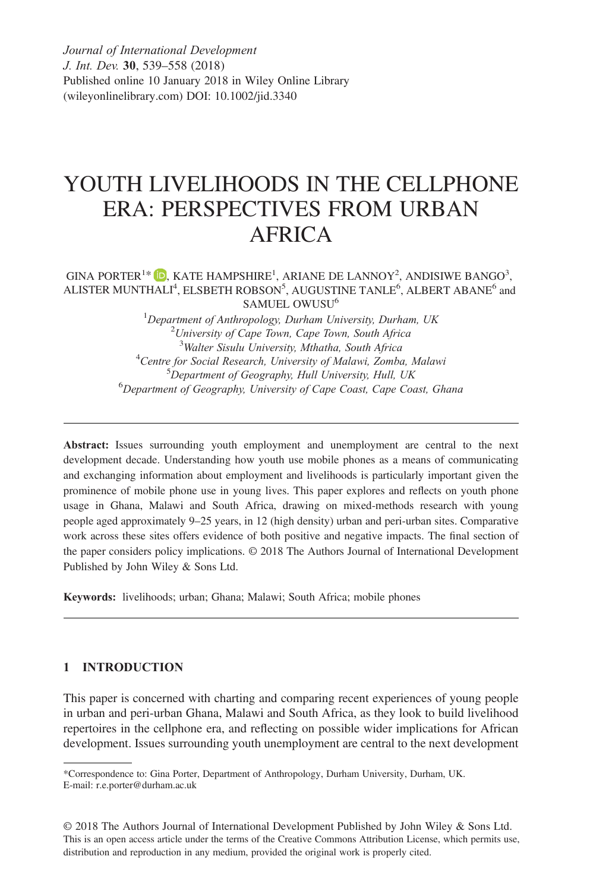Journal of International Development J. Int. Dev. 30, 539–558 (2018) Published online 10 January 2018 in Wiley Online Library (wileyonlinelibrary.com) DOI: 10.1002/jid.3340

# YOUTH LIVELIHOODS IN THE CELLPHONE ERA: PERSPECTIVES FROM URBAN AFRICA

GINA PORTER $^{1*}$   $\text{\rm D}$ , kate hampshire $^{1}$ , ariane de lannoy $^{2}$ , andisiwe bango $^{3}$ , ALISTER MUNTHALI $^4$ , ELSBETH ROBSON $^5$ , AUGUSTINE TANLE $^6$ , ALBERT ABANE $^6$  and SAMUEL OWUSU<sup>6</sup>

> <sup>1</sup>Department of Anthropology, Durham University, Durham, UK  $\frac{2I_{\text{Iniversity of Cane Town}}}{2}$  Cane Town Cane Town South Africa  $2$ University of Cape Town, Cape Town, South Africa <sup>3</sup> Walter Sisulu University, Mthatha, South Africa<br><sup>4</sup> Centre for Social Research University of Malawi, Zombo <sup>4</sup> Centre for Social Research, University of Malawi, Zomba, Malawi  $5$ Department of Geography, Hull University, Hull, UK  ${}^{6}$ Department of Geography, University of Cape Coast, Cape Coast, Ghana

Abstract: Issues surrounding youth employment and unemployment are central to the next development decade. Understanding how youth use mobile phones as a means of communicating and exchanging information about employment and livelihoods is particularly important given the prominence of mobile phone use in young lives. This paper explores and reflects on youth phone usage in Ghana, Malawi and South Africa, drawing on mixed-methods research with young people aged approximately 9–25 years, in 12 (high density) urban and peri-urban sites. Comparative work across these sites offers evidence of both positive and negative impacts. The final section of the paper considers policy implications. © 2018 The Authors Journal of International Development Published by John Wiley & Sons Ltd.

Keywords: livelihoods; urban; Ghana; Malawi; South Africa; mobile phones

#### 1 INTRODUCTION

This paper is concerned with charting and comparing recent experiences of young people in urban and peri-urban Ghana, Malawi and South Africa, as they look to build livelihood repertoires in the cellphone era, and reflecting on possible wider implications for African development. Issues surrounding youth unemployment are central to the next development

<sup>\*</sup>Correspondence to: Gina Porter, Department of Anthropology, Durham University, Durham, UK. E-mail: r.e.porter@durham.ac.uk

<sup>© 2018</sup> The Authors Journal of International Development Published by John Wiley & Sons Ltd. This is an open access article under the terms of the [Creative Commons Attribution](http://creativecommons.org/licenses/by/4.0/) License, which permits use, distribution and reproduction in any medium, provided the original work is properly cited.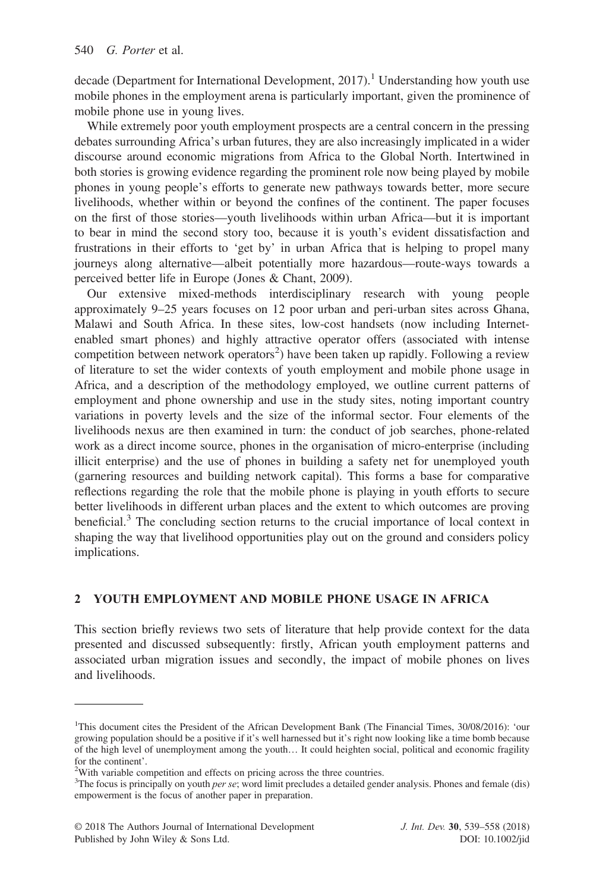decade (Department for International Development,  $2017$ ).<sup>1</sup> Understanding how youth use mobile phones in the employment arena is particularly important, given the prominence of mobile phone use in young lives.

While extremely poor youth employment prospects are a central concern in the pressing debates surrounding Africa's urban futures, they are also increasingly implicated in a wider discourse around economic migrations from Africa to the Global North. Intertwined in both stories is growing evidence regarding the prominent role now being played by mobile phones in young people's efforts to generate new pathways towards better, more secure livelihoods, whether within or beyond the confines of the continent. The paper focuses on the first of those stories—youth livelihoods within urban Africa—but it is important to bear in mind the second story too, because it is youth's evident dissatisfaction and frustrations in their efforts to 'get by' in urban Africa that is helping to propel many journeys along alternative—albeit potentially more hazardous—route-ways towards a perceived better life in Europe (Jones & Chant, 2009).

Our extensive mixed-methods interdisciplinary research with young people approximately 9–25 years focuses on 12 poor urban and peri-urban sites across Ghana, Malawi and South Africa. In these sites, low-cost handsets (now including Internetenabled smart phones) and highly attractive operator offers (associated with intense competition between network operators<sup>2</sup>) have been taken up rapidly. Following a review of literature to set the wider contexts of youth employment and mobile phone usage in Africa, and a description of the methodology employed, we outline current patterns of employment and phone ownership and use in the study sites, noting important country variations in poverty levels and the size of the informal sector. Four elements of the livelihoods nexus are then examined in turn: the conduct of job searches, phone-related work as a direct income source, phones in the organisation of micro-enterprise (including illicit enterprise) and the use of phones in building a safety net for unemployed youth (garnering resources and building network capital). This forms a base for comparative reflections regarding the role that the mobile phone is playing in youth efforts to secure better livelihoods in different urban places and the extent to which outcomes are proving beneficial.<sup>3</sup> The concluding section returns to the crucial importance of local context in shaping the way that livelihood opportunities play out on the ground and considers policy implications.

## 2 YOUTH EMPLOYMENT AND MOBILE PHONE USAGE IN AFRICA

This section briefly reviews two sets of literature that help provide context for the data presented and discussed subsequently: firstly, African youth employment patterns and associated urban migration issues and secondly, the impact of mobile phones on lives and livelihoods.

<sup>&</sup>lt;sup>1</sup>This document cites the President of the African Development Bank (The Financial Times, 30/08/2016): 'our growing population should be a positive if it's well harnessed but it's right now looking like a time bomb because of the high level of unemployment among the youth… It could heighten social, political and economic fragility for the continent'.

<sup>&</sup>lt;sup>2</sup>With variable competition and effects on pricing across the three countries.

<sup>&</sup>lt;sup>3</sup>The focus is principally on youth *per se*; word limit precludes a detailed gender analysis. Phones and female (dis) empowerment is the focus of another paper in preparation.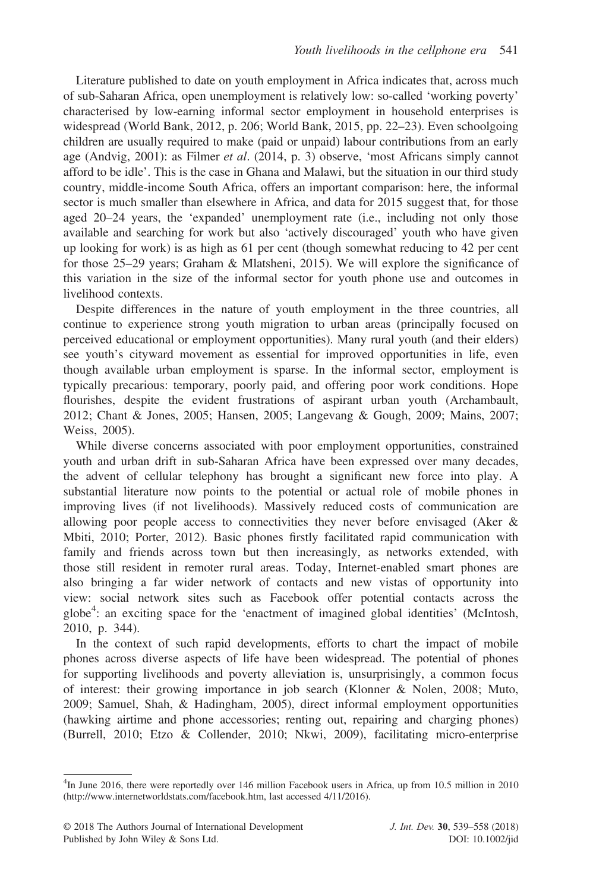Literature published to date on youth employment in Africa indicates that, across much of sub-Saharan Africa, open unemployment is relatively low: so-called 'working poverty' characterised by low-earning informal sector employment in household enterprises is widespread (World Bank, 2012, p. 206; World Bank, 2015, pp. 22–23). Even schoolgoing children are usually required to make (paid or unpaid) labour contributions from an early age (Andvig, 2001): as Filmer et al. (2014, p. 3) observe, 'most Africans simply cannot afford to be idle'. This is the case in Ghana and Malawi, but the situation in our third study country, middle-income South Africa, offers an important comparison: here, the informal sector is much smaller than elsewhere in Africa, and data for 2015 suggest that, for those aged 20–24 years, the 'expanded' unemployment rate (i.e., including not only those available and searching for work but also 'actively discouraged' youth who have given up looking for work) is as high as 61 per cent (though somewhat reducing to 42 per cent for those 25–29 years; Graham & Mlatsheni, 2015). We will explore the significance of this variation in the size of the informal sector for youth phone use and outcomes in livelihood contexts.

Despite differences in the nature of youth employment in the three countries, all continue to experience strong youth migration to urban areas (principally focused on perceived educational or employment opportunities). Many rural youth (and their elders) see youth's cityward movement as essential for improved opportunities in life, even though available urban employment is sparse. In the informal sector, employment is typically precarious: temporary, poorly paid, and offering poor work conditions. Hope flourishes, despite the evident frustrations of aspirant urban youth (Archambault, 2012; Chant & Jones, 2005; Hansen, 2005; Langevang & Gough, 2009; Mains, 2007; Weiss, 2005).

While diverse concerns associated with poor employment opportunities, constrained youth and urban drift in sub-Saharan Africa have been expressed over many decades, the advent of cellular telephony has brought a significant new force into play. A substantial literature now points to the potential or actual role of mobile phones in improving lives (if not livelihoods). Massively reduced costs of communication are allowing poor people access to connectivities they never before envisaged (Aker & Mbiti, 2010; Porter, 2012). Basic phones firstly facilitated rapid communication with family and friends across town but then increasingly, as networks extended, with those still resident in remoter rural areas. Today, Internet-enabled smart phones are also bringing a far wider network of contacts and new vistas of opportunity into view: social network sites such as Facebook offer potential contacts across the globe<sup>4</sup> : an exciting space for the 'enactment of imagined global identities' (McIntosh, 2010, p. 344).

In the context of such rapid developments, efforts to chart the impact of mobile phones across diverse aspects of life have been widespread. The potential of phones for supporting livelihoods and poverty alleviation is, unsurprisingly, a common focus of interest: their growing importance in job search (Klonner & Nolen, 2008; Muto, 2009; Samuel, Shah, & Hadingham, 2005), direct informal employment opportunities (hawking airtime and phone accessories; renting out, repairing and charging phones) (Burrell, 2010; Etzo & Collender, 2010; Nkwi, 2009), facilitating micro-enterprise

<sup>&</sup>lt;sup>4</sup>In June 2016, there were reportedly over 146 million Facebook users in Africa, up from 10.5 million in 2010 (<http://www.internetworldstats.com/facebook.htm>, last accessed 4/11/2016).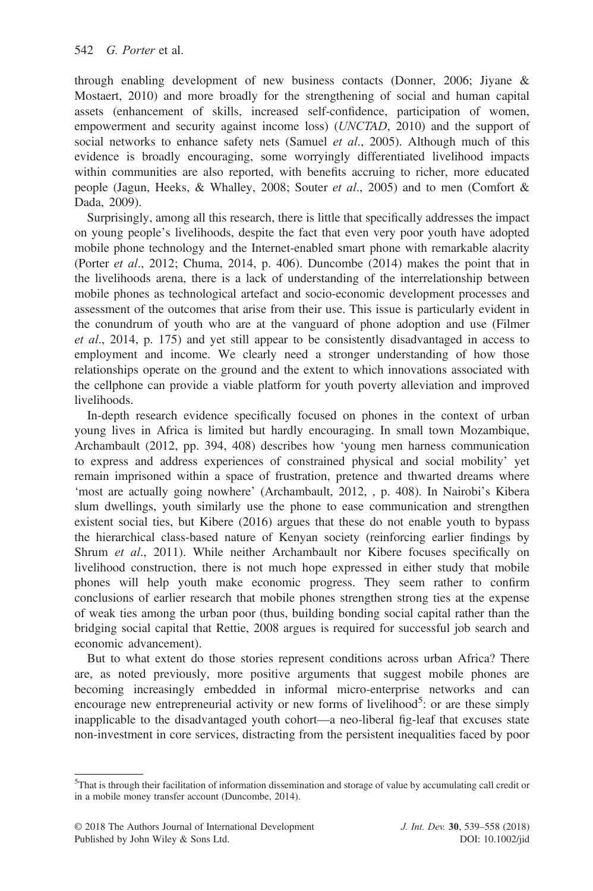through enabling development of new business contacts (Donner, 2006; Jiyane & Mostaert, 2010) and more broadly for the strengthening of social and human capital assets (enhancement of skills, increased self-confidence, participation of women, empowerment and security against income loss) (UNCTAD, 2010) and the support of social networks to enhance safety nets (Samuel *et al.*, 2005). Although much of this evidence is broadly encouraging, some worryingly differentiated livelihood impacts within communities are also reported, with benefits accruing to richer, more educated people (Jagun, Heeks, & Whalley, 2008; Souter et al., 2005) and to men (Comfort & Dada, 2009).

Surprisingly, among all this research, there is little that specifically addresses the impact on young people's livelihoods, despite the fact that even very poor youth have adopted mobile phone technology and the Internet-enabled smart phone with remarkable alacrity (Porter et al., 2012; Chuma, 2014, p. 406). Duncombe (2014) makes the point that in the livelihoods arena, there is a lack of understanding of the interrelationship between mobile phones as technological artefact and socio-economic development processes and assessment of the outcomes that arise from their use. This issue is particularly evident in the conundrum of youth who are at the vanguard of phone adoption and use (Filmer et al., 2014, p. 175) and yet still appear to be consistently disadvantaged in access to employment and income. We clearly need a stronger understanding of how those relationships operate on the ground and the extent to which innovations associated with the cellphone can provide a viable platform for youth poverty alleviation and improved livelihoods.

In-depth research evidence specifically focused on phones in the context of urban young lives in Africa is limited but hardly encouraging. In small town Mozambique, Archambault (2012, pp. 394, 408) describes how 'young men harness communication to express and address experiences of constrained physical and social mobility' yet remain imprisoned within a space of frustration, pretence and thwarted dreams where 'most are actually going nowhere' (Archambault, 2012, , p. 408). In Nairobi's Kibera slum dwellings, youth similarly use the phone to ease communication and strengthen existent social ties, but Kibere (2016) argues that these do not enable youth to bypass the hierarchical class-based nature of Kenyan society (reinforcing earlier findings by Shrum et al., 2011). While neither Archambault nor Kibere focuses specifically on livelihood construction, there is not much hope expressed in either study that mobile phones will help youth make economic progress. They seem rather to confirm conclusions of earlier research that mobile phones strengthen strong ties at the expense of weak ties among the urban poor (thus, building bonding social capital rather than the bridging social capital that Rettie, 2008 argues is required for successful job search and economic advancement).

But to what extent do those stories represent conditions across urban Africa? There are, as noted previously, more positive arguments that suggest mobile phones are becoming increasingly embedded in informal micro-enterprise networks and can encourage new entrepreneurial activity or new forms of livelihood<sup>5</sup>: or are these simply inapplicable to the disadvantaged youth cohort—a neo-liberal fig-leaf that excuses state non-investment in core services, distracting from the persistent inequalities faced by poor

<sup>&</sup>lt;sup>5</sup>That is through their facilitation of information dissemination and storage of value by accumulating call credit or in a mobile money transfer account (Duncombe, 2014).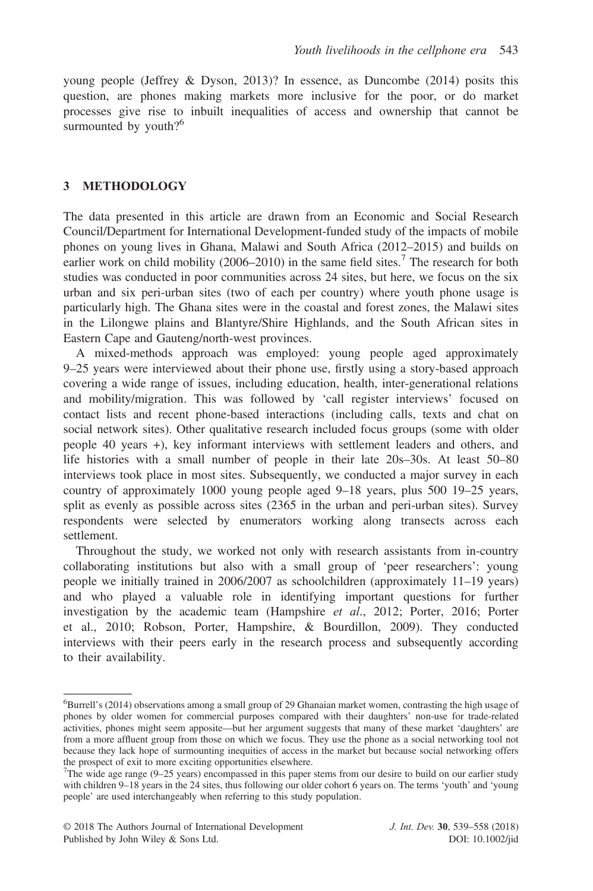young people (Jeffrey & Dyson, 2013)? In essence, as Duncombe (2014) posits this question, are phones making markets more inclusive for the poor, or do market processes give rise to inbuilt inequalities of access and ownership that cannot be surmounted by youth?<sup>6</sup>

## 3 METHODOLOGY

The data presented in this article are drawn from an Economic and Social Research Council/Department for International Development-funded study of the impacts of mobile phones on young lives in Ghana, Malawi and South Africa (2012–2015) and builds on earlier work on child mobility (2006–2010) in the same field sites.<sup>7</sup> The research for both studies was conducted in poor communities across 24 sites, but here, we focus on the six urban and six peri-urban sites (two of each per country) where youth phone usage is particularly high. The Ghana sites were in the coastal and forest zones, the Malawi sites in the Lilongwe plains and Blantyre/Shire Highlands, and the South African sites in Eastern Cape and Gauteng/north-west provinces.

A mixed-methods approach was employed: young people aged approximately 9–25 years were interviewed about their phone use, firstly using a story-based approach covering a wide range of issues, including education, health, inter-generational relations and mobility/migration. This was followed by 'call register interviews' focused on contact lists and recent phone-based interactions (including calls, texts and chat on social network sites). Other qualitative research included focus groups (some with older people 40 years +), key informant interviews with settlement leaders and others, and life histories with a small number of people in their late 20s–30s. At least 50–80 interviews took place in most sites. Subsequently, we conducted a major survey in each country of approximately 1000 young people aged 9–18 years, plus 500 19–25 years, split as evenly as possible across sites (2365 in the urban and peri-urban sites). Survey respondents were selected by enumerators working along transects across each settlement.

Throughout the study, we worked not only with research assistants from in-country collaborating institutions but also with a small group of 'peer researchers': young people we initially trained in 2006/2007 as schoolchildren (approximately 11–19 years) and who played a valuable role in identifying important questions for further investigation by the academic team (Hampshire *et al.*, 2012; Porter, 2016; Porter et al., 2010; Robson, Porter, Hampshire, & Bourdillon, 2009). They conducted interviews with their peers early in the research process and subsequently according to their availability.

<sup>&</sup>lt;sup>6</sup>Burrell's (2014) observations among a small group of 29 Ghanaian market women, contrasting the high usage of phones by older women for commercial purposes compared with their daughters' non-use for trade-related activities, phones might seem apposite—but her argument suggests that many of these market 'daughters' are from a more affluent group from those on which we focus. They use the phone as a social networking tool not because they lack hope of surmounting inequities of access in the market but because social networking offers the prospect of exit to more exciting opportunities elsewhere.

<sup>&</sup>lt;sup>7</sup>The wide age range (9–25 years) encompassed in this paper stems from our desire to build on our earlier study with children 9–18 years in the 24 sites, thus following our older cohort 6 years on. The terms 'youth' and 'young people' are used interchangeably when referring to this study population.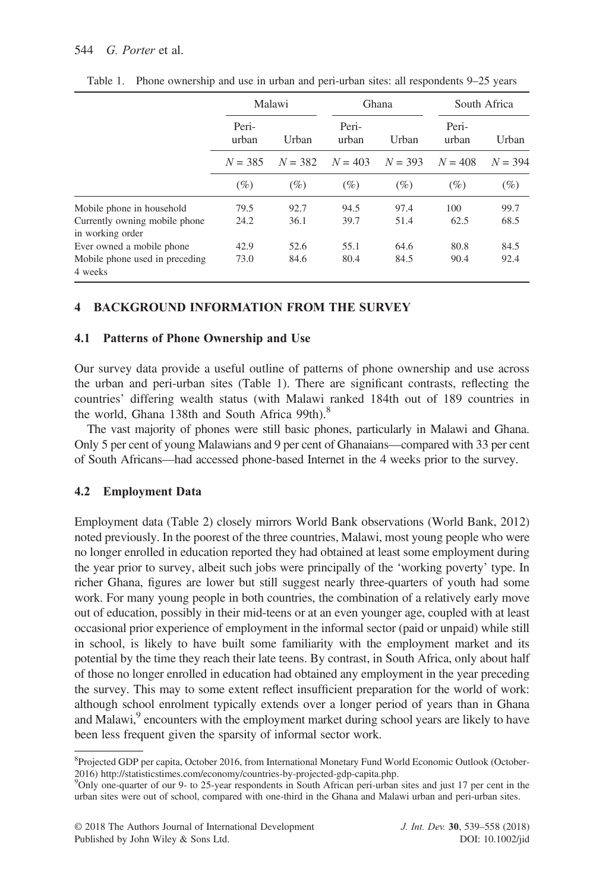### 544 G. Porter et al.

|                                                   | Malawi         |                                 |                | Ghana              |                             | South Africa       |
|---------------------------------------------------|----------------|---------------------------------|----------------|--------------------|-----------------------------|--------------------|
|                                                   | Peri-<br>urban | Urban<br>$N = 382$<br>$N = 385$ | Peri-<br>urban | Urban<br>$N = 393$ | Peri-<br>urban<br>$N = 408$ | Urban<br>$N = 394$ |
|                                                   |                |                                 | $N = 403$      |                    |                             |                    |
|                                                   | $(\%)$         | $(\%)$                          | $(\%)$         | $(\%)$             | $(\%)$                      | $(\%)$             |
| Mobile phone in household                         | 79.5           | 92.7                            | 94.5           | 97.4               | 100                         | 99.7               |
| Currently owning mobile phone<br>in working order | 24.2           | 36.1                            | 39.7           | 51.4               | 62.5                        | 68.5               |
| Ever owned a mobile phone                         | 42.9           | 52.6                            | 55.1           | 64.6               | 80.8                        | 84.5               |
| Mobile phone used in preceding<br>4 weeks         | 73.0           | 84.6                            | 80.4           | 84.5               | 90.4                        | 92.4               |

Table 1. Phone ownership and use in urban and peri-urban sites: all respondents 9–25 years

## 4 BACKGROUND INFORMATION FROM THE SURVEY

#### 4.1 Patterns of Phone Ownership and Use

Our survey data provide a useful outline of patterns of phone ownership and use across the urban and peri-urban sites (Table 1). There are significant contrasts, reflecting the countries' differing wealth status (with Malawi ranked 184th out of 189 countries in the world, Ghana 138th and South Africa  $99th$ .<sup>8</sup>

The vast majority of phones were still basic phones, particularly in Malawi and Ghana. Only 5 per cent of young Malawians and 9 per cent of Ghanaians—compared with 33 per cent of South Africans—had accessed phone-based Internet in the 4 weeks prior to the survey.

### 4.2 Employment Data

Employment data (Table 2) closely mirrors World Bank observations (World Bank, 2012) noted previously. In the poorest of the three countries, Malawi, most young people who were no longer enrolled in education reported they had obtained at least some employment during the year prior to survey, albeit such jobs were principally of the 'working poverty' type. In richer Ghana, figures are lower but still suggest nearly three-quarters of youth had some work. For many young people in both countries, the combination of a relatively early move out of education, possibly in their mid-teens or at an even younger age, coupled with at least occasional prior experience of employment in the informal sector (paid or unpaid) while still in school, is likely to have built some familiarity with the employment market and its potential by the time they reach their late teens. By contrast, in South Africa, only about half of those no longer enrolled in education had obtained any employment in the year preceding the survey. This may to some extent reflect insufficient preparation for the world of work: although school enrolment typically extends over a longer period of years than in Ghana and Malawi, $9$  encounters with the employment market during school years are likely to have been less frequent given the sparsity of informal sector work.

<sup>&</sup>lt;sup>8</sup> Projected GDP per capita, October 2016, from International Monetary Fund World Economic Outlook (October-2016) [http://statisticstimes.com/economy/countries-by-projected-gdp-capita.php.](http://statisticstimes.com/economy/countries-by-projected-gdp-capita.php)

<sup>&</sup>lt;sup>9</sup>Only one-quarter of our 9- to 25-year respondents in South African peri-urban sites and just 17 per cent in the urban sites were out of school, compared with one-third in the Ghana and Malawi urban and peri-urban sites.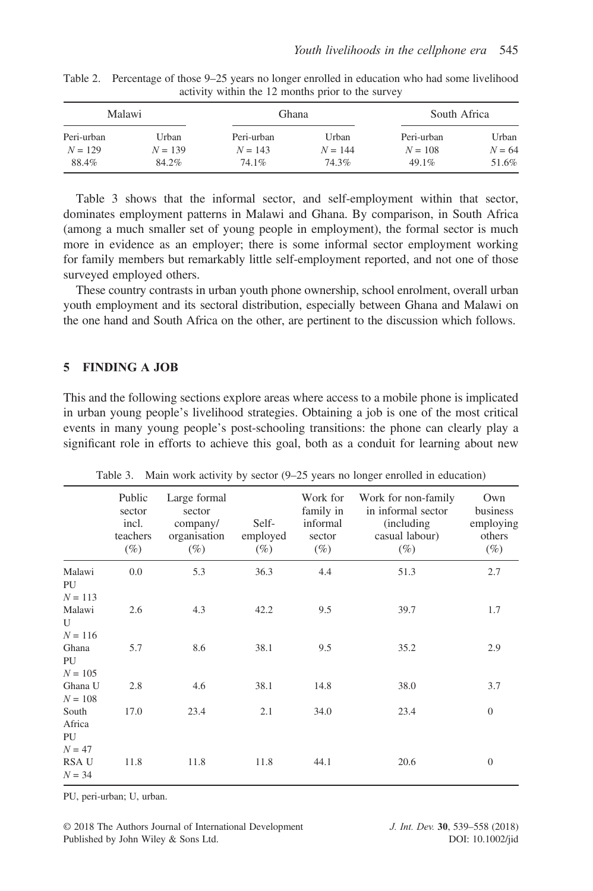| Malawi                  |                    | Ghana                   |                    | South Africa            |                   |
|-------------------------|--------------------|-------------------------|--------------------|-------------------------|-------------------|
| Peri-urban<br>$N = 129$ | Urban<br>$N = 139$ | Peri-urban<br>$N = 143$ | Urban<br>$N = 144$ | Peri-urban<br>$N = 108$ | Urban<br>$N = 64$ |
| 88.4%                   | 84.2%              | 74.1%                   | 74.3%              | $49.1\%$                | 51.6%             |

Table 2. Percentage of those 9–25 years no longer enrolled in education who had some livelihood activity within the 12 months prior to the survey

Table 3 shows that the informal sector, and self-employment within that sector, dominates employment patterns in Malawi and Ghana. By comparison, in South Africa (among a much smaller set of young people in employment), the formal sector is much more in evidence as an employer; there is some informal sector employment working for family members but remarkably little self-employment reported, and not one of those surveyed employed others.

These country contrasts in urban youth phone ownership, school enrolment, overall urban youth employment and its sectoral distribution, especially between Ghana and Malawi on the one hand and South Africa on the other, are pertinent to the discussion which follows.

## 5 FINDING A JOB

This and the following sections explore areas where access to a mobile phone is implicated in urban young people's livelihood strategies. Obtaining a job is one of the most critical events in many young people's post-schooling transitions: the phone can clearly play a significant role in efforts to achieve this goal, both as a conduit for learning about new

|                                   | Public<br>sector<br>incl.<br>teachers<br>$(\%)$ | Large formal<br>sector<br>company/<br>organisation<br>$(\%)$ | Self-<br>employed<br>$(\%)$ | Work for<br>family in<br>informal<br>sector<br>$(\%)$ | Work for non-family<br>in informal sector<br>(including)<br>casual labour)<br>$(\%)$ | Own<br>business<br>employing<br>others<br>$(\%)$ |
|-----------------------------------|-------------------------------------------------|--------------------------------------------------------------|-----------------------------|-------------------------------------------------------|--------------------------------------------------------------------------------------|--------------------------------------------------|
| Malawi<br>PU<br>$N = 113$         | 0.0                                             | 5.3                                                          | 36.3                        | 4.4                                                   | 51.3                                                                                 | 2.7                                              |
| Malawi<br>U<br>$N = 116$          | 2.6                                             | 4.3                                                          | 42.2                        | 9.5                                                   | 39.7                                                                                 | 1.7                                              |
| Ghana<br>PU<br>$N = 105$          | 5.7                                             | 8.6                                                          | 38.1                        | 9.5                                                   | 35.2                                                                                 | 2.9                                              |
| Ghana U<br>$N = 108$              | 2.8                                             | 4.6                                                          | 38.1                        | 14.8                                                  | 38.0                                                                                 | 3.7                                              |
| South<br>Africa<br>PU<br>$N = 47$ | 17.0                                            | 23.4                                                         | 2.1                         | 34.0                                                  | 23.4                                                                                 | $\boldsymbol{0}$                                 |
| <b>RSAU</b><br>$N = 34$           | 11.8                                            | 11.8                                                         | 11.8                        | 44.1                                                  | 20.6                                                                                 | $\mathbf{0}$                                     |

Table 3. Main work activity by sector (9–25 years no longer enrolled in education)

PU, peri-urban; U, urban.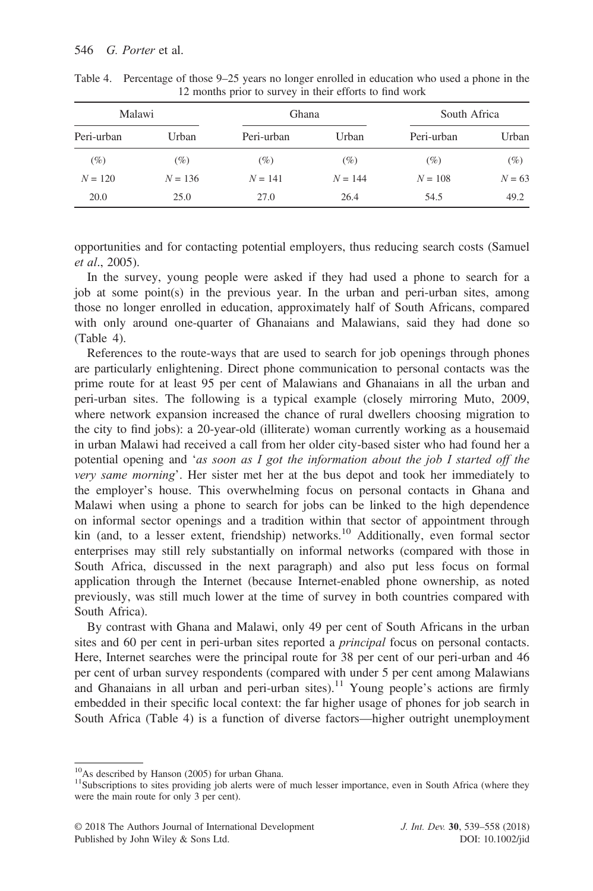| Malawi     |           | Ghana      |           | South Africa |          |
|------------|-----------|------------|-----------|--------------|----------|
| Peri-urban | Urban     | Peri-urban | Urban     | Peri-urban   | Urban    |
| $(\%)$     | $(\%)$    | $(\%)$     | (%)       | (%)          | (%)      |
| $N = 120$  | $N = 136$ | $N = 141$  | $N = 144$ | $N = 108$    | $N = 63$ |
| 20.0       | 25.0      | 27.0       | 26.4      | 54.5         | 49.2     |

Table 4. Percentage of those 9–25 years no longer enrolled in education who used a phone in the 12 months prior to survey in their efforts to find work

opportunities and for contacting potential employers, thus reducing search costs (Samuel et al., 2005).

In the survey, young people were asked if they had used a phone to search for a job at some point(s) in the previous year. In the urban and peri-urban sites, among those no longer enrolled in education, approximately half of South Africans, compared with only around one-quarter of Ghanaians and Malawians, said they had done so (Table 4).

References to the route-ways that are used to search for job openings through phones are particularly enlightening. Direct phone communication to personal contacts was the prime route for at least 95 per cent of Malawians and Ghanaians in all the urban and peri-urban sites. The following is a typical example (closely mirroring Muto, 2009, where network expansion increased the chance of rural dwellers choosing migration to the city to find jobs): a 20-year-old (illiterate) woman currently working as a housemaid in urban Malawi had received a call from her older city-based sister who had found her a potential opening and 'as soon as I got the information about the job I started off the very same morning'. Her sister met her at the bus depot and took her immediately to the employer's house. This overwhelming focus on personal contacts in Ghana and Malawi when using a phone to search for jobs can be linked to the high dependence on informal sector openings and a tradition within that sector of appointment through kin (and, to a lesser extent, friendship) networks.<sup>10</sup> Additionally, even formal sector enterprises may still rely substantially on informal networks (compared with those in South Africa, discussed in the next paragraph) and also put less focus on formal application through the Internet (because Internet-enabled phone ownership, as noted previously, was still much lower at the time of survey in both countries compared with South Africa).

By contrast with Ghana and Malawi, only 49 per cent of South Africans in the urban sites and 60 per cent in peri-urban sites reported a *principal* focus on personal contacts. Here, Internet searches were the principal route for 38 per cent of our peri-urban and 46 per cent of urban survey respondents (compared with under 5 per cent among Malawians and Ghanaians in all urban and peri-urban sites).<sup>11</sup> Young people's actions are firmly embedded in their specific local context: the far higher usage of phones for job search in South Africa (Table 4) is a function of diverse factors—higher outright unemployment

 $10$ As described by Hanson (2005) for urban Ghana.<br> $11$ Subscriptions to sites providing job alerts were of much lesser importance, even in South Africa (where they were the main route for only 3 per cent).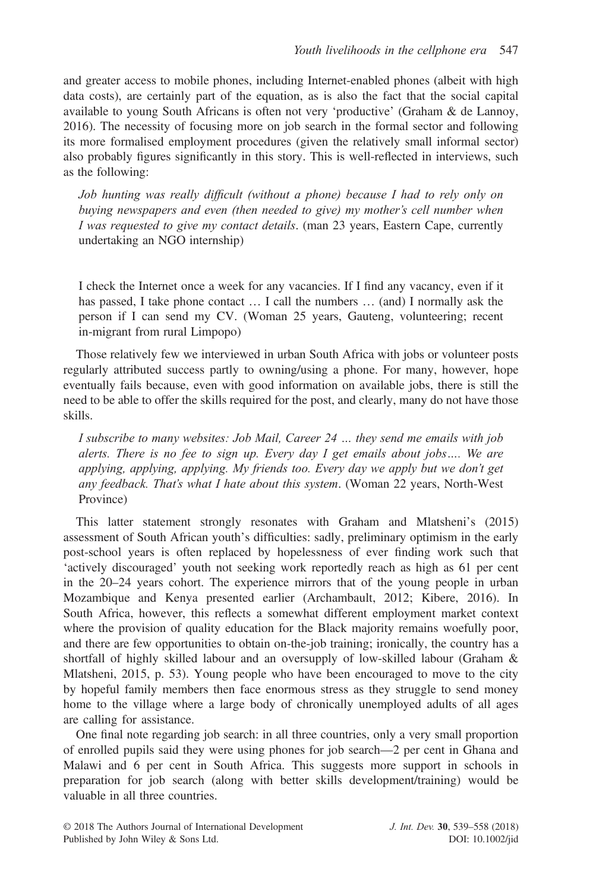and greater access to mobile phones, including Internet-enabled phones (albeit with high data costs), are certainly part of the equation, as is also the fact that the social capital available to young South Africans is often not very 'productive' (Graham & de Lannoy, 2016). The necessity of focusing more on job search in the formal sector and following its more formalised employment procedures (given the relatively small informal sector) also probably figures significantly in this story. This is well-reflected in interviews, such as the following:

Job hunting was really difficult (without a phone) because I had to rely only on buying newspapers and even (then needed to give) my mother's cell number when I was requested to give my contact details. (man 23 years, Eastern Cape, currently undertaking an NGO internship)

I check the Internet once a week for any vacancies. If I find any vacancy, even if it has passed, I take phone contact ... I call the numbers ... (and) I normally ask the person if I can send my CV. (Woman 25 years, Gauteng, volunteering; recent in-migrant from rural Limpopo)

Those relatively few we interviewed in urban South Africa with jobs or volunteer posts regularly attributed success partly to owning/using a phone. For many, however, hope eventually fails because, even with good information on available jobs, there is still the need to be able to offer the skills required for the post, and clearly, many do not have those skills.

I subscribe to many websites: Job Mail, Career 24 … they send me emails with job alerts. There is no fee to sign up. Every day I get emails about jobs.... We are applying, applying, applying. My friends too. Every day we apply but we don't get any feedback. That's what I hate about this system. (Woman 22 years, North-West Province)

This latter statement strongly resonates with Graham and Mlatsheni's (2015) assessment of South African youth's difficulties: sadly, preliminary optimism in the early post-school years is often replaced by hopelessness of ever finding work such that 'actively discouraged' youth not seeking work reportedly reach as high as 61 per cent in the 20–24 years cohort. The experience mirrors that of the young people in urban Mozambique and Kenya presented earlier (Archambault, 2012; Kibere, 2016). In South Africa, however, this reflects a somewhat different employment market context where the provision of quality education for the Black majority remains woefully poor, and there are few opportunities to obtain on-the-job training; ironically, the country has a shortfall of highly skilled labour and an oversupply of low-skilled labour (Graham & Mlatsheni, 2015, p. 53). Young people who have been encouraged to move to the city by hopeful family members then face enormous stress as they struggle to send money home to the village where a large body of chronically unemployed adults of all ages are calling for assistance.

One final note regarding job search: in all three countries, only a very small proportion of enrolled pupils said they were using phones for job search—2 per cent in Ghana and Malawi and 6 per cent in South Africa. This suggests more support in schools in preparation for job search (along with better skills development/training) would be valuable in all three countries.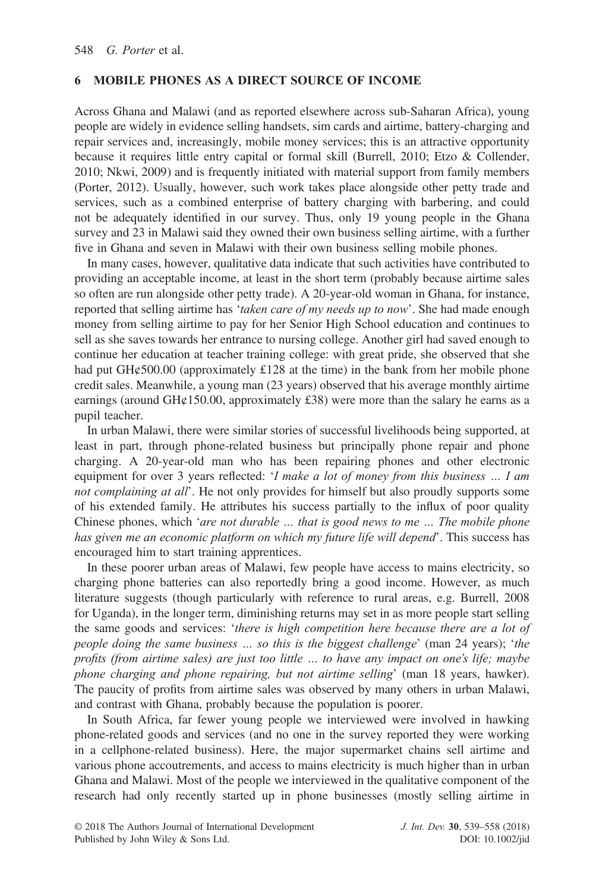#### 6 MOBILE PHONES AS A DIRECT SOURCE OF INCOME

Across Ghana and Malawi (and as reported elsewhere across sub-Saharan Africa), young people are widely in evidence selling handsets, sim cards and airtime, battery-charging and repair services and, increasingly, mobile money services; this is an attractive opportunity because it requires little entry capital or formal skill (Burrell, 2010; Etzo & Collender, 2010; Nkwi, 2009) and is frequently initiated with material support from family members (Porter, 2012). Usually, however, such work takes place alongside other petty trade and services, such as a combined enterprise of battery charging with barbering, and could not be adequately identified in our survey. Thus, only 19 young people in the Ghana survey and 23 in Malawi said they owned their own business selling airtime, with a further five in Ghana and seven in Malawi with their own business selling mobile phones.

In many cases, however, qualitative data indicate that such activities have contributed to providing an acceptable income, at least in the short term (probably because airtime sales so often are run alongside other petty trade). A 20-year-old woman in Ghana, for instance, reported that selling airtime has 'taken care of my needs up to now'. She had made enough money from selling airtime to pay for her Senior High School education and continues to sell as she saves towards her entrance to nursing college. Another girl had saved enough to continue her education at teacher training college: with great pride, she observed that she had put GH¢500.00 (approximately £128 at the time) in the bank from her mobile phone credit sales. Meanwhile, a young man (23 years) observed that his average monthly airtime earnings (around  $GH¢150.00$ , approximately £38) were more than the salary he earns as a pupil teacher.

In urban Malawi, there were similar stories of successful livelihoods being supported, at least in part, through phone-related business but principally phone repair and phone charging. A 20-year-old man who has been repairing phones and other electronic equipment for over 3 years reflected: 'I make a lot of money from this business ... I am not complaining at all'. He not only provides for himself but also proudly supports some of his extended family. He attributes his success partially to the influx of poor quality Chinese phones, which 'are not durable … that is good news to me … The mobile phone has given me an economic platform on which my future life will depend'. This success has encouraged him to start training apprentices.

In these poorer urban areas of Malawi, few people have access to mains electricity, so charging phone batteries can also reportedly bring a good income. However, as much literature suggests (though particularly with reference to rural areas, e.g. Burrell, 2008 for Uganda), in the longer term, diminishing returns may set in as more people start selling the same goods and services: 'there is high competition here because there are a lot of people doing the same business … so this is the biggest challenge' (man 24 years); 'the profits (from airtime sales) are just too little … to have any impact on one's life; maybe phone charging and phone repairing, but not airtime selling' (man 18 years, hawker). The paucity of profits from airtime sales was observed by many others in urban Malawi, and contrast with Ghana, probably because the population is poorer.

In South Africa, far fewer young people we interviewed were involved in hawking phone-related goods and services (and no one in the survey reported they were working in a cellphone-related business). Here, the major supermarket chains sell airtime and various phone accoutrements, and access to mains electricity is much higher than in urban Ghana and Malawi. Most of the people we interviewed in the qualitative component of the research had only recently started up in phone businesses (mostly selling airtime in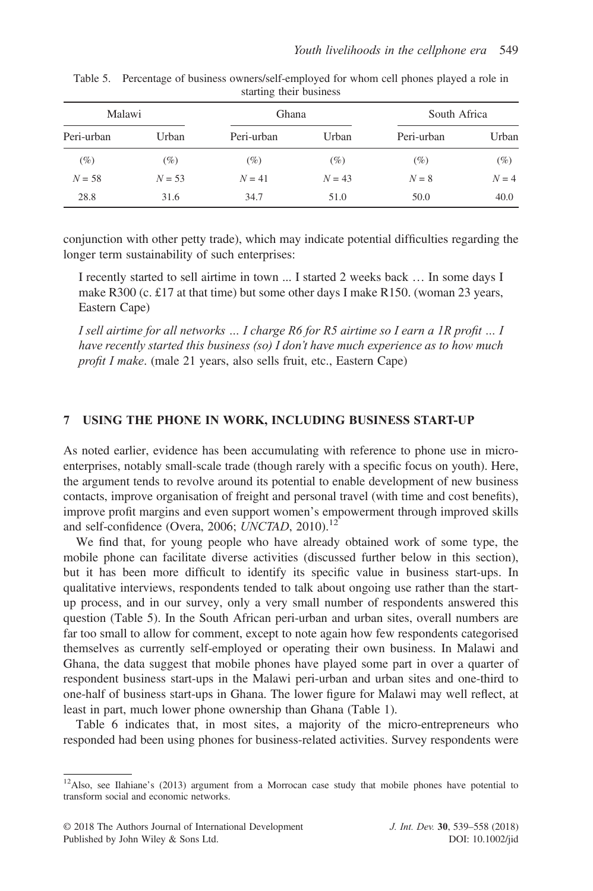| Malawi     |          | Ghana      |          | South Africa |         |
|------------|----------|------------|----------|--------------|---------|
| Peri-urban | Urban    | Peri-urban | Urban    | Peri-urban   | Urban   |
| $(\%)$     | $(\%)$   | $(\%)$     | (%)      | $(\%)$       | (%)     |
| $N = 58$   | $N = 53$ | $N = 41$   | $N = 43$ | $N=8$        | $N = 4$ |
| 28.8       | 31.6     | 34.7       | 51.0     | 50.0         | 40.0    |

Table 5. Percentage of business owners/self-employed for whom cell phones played a role in starting their business

conjunction with other petty trade), which may indicate potential difficulties regarding the longer term sustainability of such enterprises:

I recently started to sell airtime in town ... I started 2 weeks back … In some days I make R300 (c. £17 at that time) but some other days I make R150. (woman 23 years, Eastern Cape)

I sell airtime for all networks … I charge R6 for R5 airtime so I earn a 1R profit … I have recently started this business (so) I don't have much experience as to how much profit I make. (male 21 years, also sells fruit, etc., Eastern Cape)

## 7 USING THE PHONE IN WORK, INCLUDING BUSINESS START-UP

As noted earlier, evidence has been accumulating with reference to phone use in microenterprises, notably small-scale trade (though rarely with a specific focus on youth). Here, the argument tends to revolve around its potential to enable development of new business contacts, improve organisation of freight and personal travel (with time and cost benefits), improve profit margins and even support women's empowerment through improved skills and self-confidence (Overa, 2006; UNCTAD, 2010).<sup>12</sup>

We find that, for young people who have already obtained work of some type, the mobile phone can facilitate diverse activities (discussed further below in this section), but it has been more difficult to identify its specific value in business start-ups. In qualitative interviews, respondents tended to talk about ongoing use rather than the startup process, and in our survey, only a very small number of respondents answered this question (Table 5). In the South African peri-urban and urban sites, overall numbers are far too small to allow for comment, except to note again how few respondents categorised themselves as currently self-employed or operating their own business. In Malawi and Ghana, the data suggest that mobile phones have played some part in over a quarter of respondent business start-ups in the Malawi peri-urban and urban sites and one-third to one-half of business start-ups in Ghana. The lower figure for Malawi may well reflect, at least in part, much lower phone ownership than Ghana (Table 1).

Table 6 indicates that, in most sites, a majority of the micro-entrepreneurs who responded had been using phones for business-related activities. Survey respondents were

<sup>&</sup>lt;sup>12</sup>Also, see Ilahiane's (2013) argument from a Morrocan case study that mobile phones have potential to transform social and economic networks.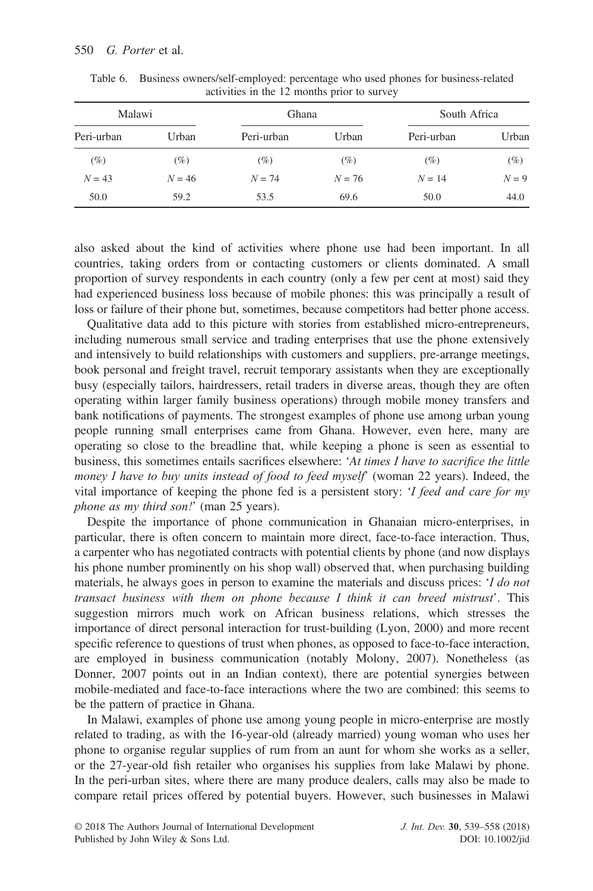|                     | Malawi<br>Ghana |            |          |            |         |  |
|---------------------|-----------------|------------|----------|------------|---------|--|
| Peri-urban<br>Urban |                 | Peri-urban | Urban    | Peri-urban | Urban   |  |
| $(\%)$              | $(\%)$          | (%)        | $(\%)$   | $(\%)$     | $(\%)$  |  |
| $N = 43$            | $N = 46$        | $N = 74$   | $N = 76$ | $N = 14$   | $N = 9$ |  |
| 50.0                | 59.2            | 53.5       | 69.6     | 50.0       | 44.0    |  |

Table 6. Business owners/self-employed: percentage who used phones for business-related activities in the 12 months prior to survey

also asked about the kind of activities where phone use had been important. In all countries, taking orders from or contacting customers or clients dominated. A small proportion of survey respondents in each country (only a few per cent at most) said they had experienced business loss because of mobile phones: this was principally a result of loss or failure of their phone but, sometimes, because competitors had better phone access.

Qualitative data add to this picture with stories from established micro-entrepreneurs, including numerous small service and trading enterprises that use the phone extensively and intensively to build relationships with customers and suppliers, pre-arrange meetings, book personal and freight travel, recruit temporary assistants when they are exceptionally busy (especially tailors, hairdressers, retail traders in diverse areas, though they are often operating within larger family business operations) through mobile money transfers and bank notifications of payments. The strongest examples of phone use among urban young people running small enterprises came from Ghana. However, even here, many are operating so close to the breadline that, while keeping a phone is seen as essential to business, this sometimes entails sacrifices elsewhere: 'At times I have to sacrifice the little money I have to buy units instead of food to feed myself' (woman 22 years). Indeed, the vital importance of keeping the phone fed is a persistent story: 'I feed and care for my phone as my third son!' (man 25 years).

Despite the importance of phone communication in Ghanaian micro-enterprises, in particular, there is often concern to maintain more direct, face-to-face interaction. Thus, a carpenter who has negotiated contracts with potential clients by phone (and now displays his phone number prominently on his shop wall) observed that, when purchasing building materials, he always goes in person to examine the materials and discuss prices: '*I do not* transact business with them on phone because I think it can breed mistrust'. This suggestion mirrors much work on African business relations, which stresses the importance of direct personal interaction for trust-building (Lyon, 2000) and more recent specific reference to questions of trust when phones, as opposed to face-to-face interaction, are employed in business communication (notably Molony, 2007). Nonetheless (as Donner, 2007 points out in an Indian context), there are potential synergies between mobile-mediated and face-to-face interactions where the two are combined: this seems to be the pattern of practice in Ghana.

In Malawi, examples of phone use among young people in micro-enterprise are mostly related to trading, as with the 16-year-old (already married) young woman who uses her phone to organise regular supplies of rum from an aunt for whom she works as a seller, or the 27-year-old fish retailer who organises his supplies from lake Malawi by phone. In the peri-urban sites, where there are many produce dealers, calls may also be made to compare retail prices offered by potential buyers. However, such businesses in Malawi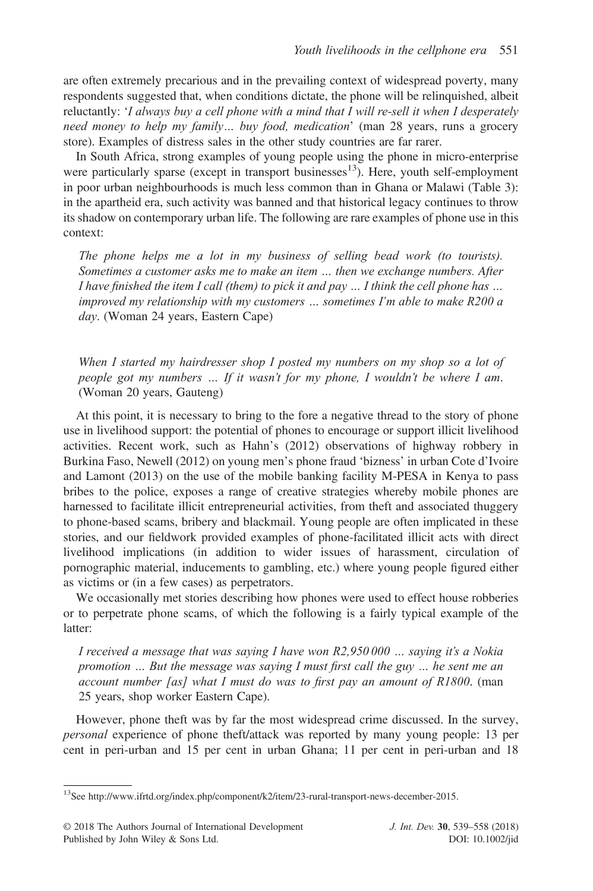are often extremely precarious and in the prevailing context of widespread poverty, many respondents suggested that, when conditions dictate, the phone will be relinquished, albeit reluctantly: 'I always buy a cell phone with a mind that I will re-sell it when I desperately need money to help my family... buy food, medication' (man 28 years, runs a grocery store). Examples of distress sales in the other study countries are far rarer.

In South Africa, strong examples of young people using the phone in micro-enterprise were particularly sparse (except in transport businesses $^{13}$ ). Here, youth self-employment in poor urban neighbourhoods is much less common than in Ghana or Malawi (Table 3): in the apartheid era, such activity was banned and that historical legacy continues to throw its shadow on contemporary urban life. The following are rare examples of phone use in this context:

The phone helps me a lot in my business of selling bead work (to tourists). Sometimes a customer asks me to make an item … then we exchange numbers. After I have finished the item I call (them) to pick it and pay  $\dots$  I think the cell phone has  $\dots$ improved my relationship with my customers … sometimes I'm able to make R200 a day. (Woman 24 years, Eastern Cape)

When I started my hairdresser shop I posted my numbers on my shop so a lot of people got my numbers … If it wasn't for my phone, I wouldn't be where I am. (Woman 20 years, Gauteng)

At this point, it is necessary to bring to the fore a negative thread to the story of phone use in livelihood support: the potential of phones to encourage or support illicit livelihood activities. Recent work, such as Hahn's (2012) observations of highway robbery in Burkina Faso, Newell (2012) on young men's phone fraud 'bizness' in urban Cote d'Ivoire and Lamont (2013) on the use of the mobile banking facility M-PESA in Kenya to pass bribes to the police, exposes a range of creative strategies whereby mobile phones are harnessed to facilitate illicit entrepreneurial activities, from theft and associated thuggery to phone-based scams, bribery and blackmail. Young people are often implicated in these stories, and our fieldwork provided examples of phone-facilitated illicit acts with direct livelihood implications (in addition to wider issues of harassment, circulation of pornographic material, inducements to gambling, etc.) where young people figured either as victims or (in a few cases) as perpetrators.

We occasionally met stories describing how phones were used to effect house robberies or to perpetrate phone scams, of which the following is a fairly typical example of the latter:

I received a message that was saying I have won R2,950 000 … saying it's a Nokia promotion … But the message was saying I must first call the guy … he sent me an account number [as] what I must do was to first pay an amount of R1800. (man 25 years, shop worker Eastern Cape).

However, phone theft was by far the most widespread crime discussed. In the survey, personal experience of phone theft/attack was reported by many young people: 13 per cent in peri-urban and 15 per cent in urban Ghana; 11 per cent in peri-urban and 18

<sup>13</sup>See [http://www.ifrtd.org/index.php/component/k2/item/23-rural-transport-news-december-2015.](http://www.ifrtd.org/index.php/component/k2/item/23-rural-transport-news-december-2015)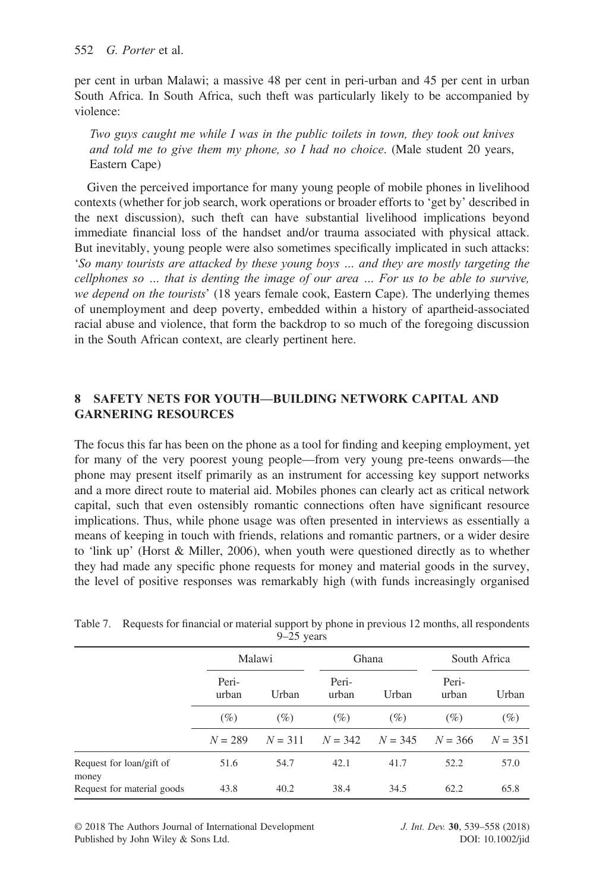per cent in urban Malawi; a massive 48 per cent in peri-urban and 45 per cent in urban South Africa. In South Africa, such theft was particularly likely to be accompanied by violence:

Two guys caught me while I was in the public toilets in town, they took out knives and told me to give them my phone, so  $I$  had no choice. (Male student  $20$  years, Eastern Cape)

Given the perceived importance for many young people of mobile phones in livelihood contexts (whether for job search, work operations or broader efforts to 'get by' described in the next discussion), such theft can have substantial livelihood implications beyond immediate financial loss of the handset and/or trauma associated with physical attack. But inevitably, young people were also sometimes specifically implicated in such attacks: 'So many tourists are attacked by these young boys … and they are mostly targeting the cellphones so … that is denting the image of our area … For us to be able to survive, we depend on the tourists' (18 years female cook, Eastern Cape). The underlying themes of unemployment and deep poverty, embedded within a history of apartheid-associated racial abuse and violence, that form the backdrop to so much of the foregoing discussion in the South African context, are clearly pertinent here.

# 8 SAFETY NETS FOR YOUTH—BUILDING NETWORK CAPITAL AND GARNERING RESOURCES

The focus this far has been on the phone as a tool for finding and keeping employment, yet for many of the very poorest young people—from very young pre-teens onwards—the phone may present itself primarily as an instrument for accessing key support networks and a more direct route to material aid. Mobiles phones can clearly act as critical network capital, such that even ostensibly romantic connections often have significant resource implications. Thus, while phone usage was often presented in interviews as essentially a means of keeping in touch with friends, relations and romantic partners, or a wider desire to 'link up' (Horst & Miller, 2006), when youth were questioned directly as to whether they had made any specific phone requests for money and material goods in the survey, the level of positive responses was remarkably high (with funds increasingly organised

| $2 - 20$ , $\sqrt{2}$             |                |           |           |           |                |           |  |
|-----------------------------------|----------------|-----------|-----------|-----------|----------------|-----------|--|
|                                   | Malawi         |           | Ghana     |           | South Africa   |           |  |
|                                   | Peri-<br>urban | Urban     |           | Urban     | Peri-<br>urban | Urban     |  |
|                                   | $(\%)$         | $(\%)$    | (%)       | (%)       | $(\%)$         | $(\%)$    |  |
|                                   | $N = 289$      | $N = 311$ | $N = 342$ | $N = 345$ | $N = 366$      | $N = 351$ |  |
| Request for loan/gift of<br>money | 51.6           | 54.7      | 42.1      | 41.7      | 52.2           | 57.0      |  |
| Request for material goods        | 43.8           | 40.2      | 38.4      | 34.5      | 62.2           | 65.8      |  |

| Table 7. Requests for financial or material support by phone in previous 12 months, all respondents |
|-----------------------------------------------------------------------------------------------------|
| $9-25$ years                                                                                        |

© 2018 The Authors Journal of International Development Published by John Wiley & Sons Ltd.

J. Int. Dev. 30, 539–558 (2018) DOI: 10.1002/jid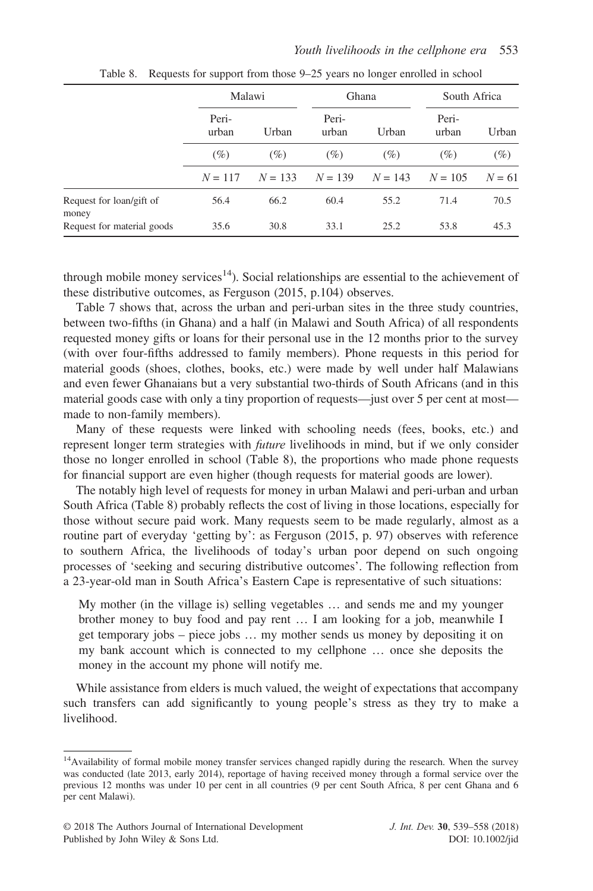|                                   | Malawi                             |                     | Ghana               |                              | South Africa                          |                             |
|-----------------------------------|------------------------------------|---------------------|---------------------|------------------------------|---------------------------------------|-----------------------------|
|                                   | Peri-<br>urban<br>(%)<br>$N = 117$ | Urban               | Peri-<br>urban      | Urban<br>$(\%)$<br>$N = 143$ | Peri-<br>urban<br>$(\%)$<br>$N = 105$ | Urban<br>$(\%)$<br>$N = 61$ |
|                                   |                                    | $(\%)$<br>$N = 133$ | $(\%)$<br>$N = 139$ |                              |                                       |                             |
|                                   |                                    |                     |                     |                              |                                       |                             |
| Request for loan/gift of<br>money | 56.4                               | 66.2                | 60.4                | 55.2                         | 71.4                                  | 70.5                        |
| Request for material goods        | 35.6                               | 30.8                | 33.1                | 25.2                         | 53.8                                  | 45.3                        |

Table 8. Requests for support from those 9–25 years no longer enrolled in school

through mobile money services<sup>14</sup>). Social relationships are essential to the achievement of these distributive outcomes, as Ferguson (2015, p.104) observes.

Table 7 shows that, across the urban and peri-urban sites in the three study countries, between two-fifths (in Ghana) and a half (in Malawi and South Africa) of all respondents requested money gifts or loans for their personal use in the 12 months prior to the survey (with over four-fifths addressed to family members). Phone requests in this period for material goods (shoes, clothes, books, etc.) were made by well under half Malawians and even fewer Ghanaians but a very substantial two-thirds of South Africans (and in this material goods case with only a tiny proportion of requests—just over 5 per cent at most made to non-family members).

Many of these requests were linked with schooling needs (fees, books, etc.) and represent longer term strategies with *future* livelihoods in mind, but if we only consider those no longer enrolled in school (Table 8), the proportions who made phone requests for financial support are even higher (though requests for material goods are lower).

The notably high level of requests for money in urban Malawi and peri-urban and urban South Africa (Table 8) probably reflects the cost of living in those locations, especially for those without secure paid work. Many requests seem to be made regularly, almost as a routine part of everyday 'getting by': as Ferguson (2015, p. 97) observes with reference to southern Africa, the livelihoods of today's urban poor depend on such ongoing processes of 'seeking and securing distributive outcomes'. The following reflection from a 23-year-old man in South Africa's Eastern Cape is representative of such situations:

My mother (in the village is) selling vegetables … and sends me and my younger brother money to buy food and pay rent … I am looking for a job, meanwhile I get temporary jobs – piece jobs … my mother sends us money by depositing it on my bank account which is connected to my cellphone … once she deposits the money in the account my phone will notify me.

While assistance from elders is much valued, the weight of expectations that accompany such transfers can add significantly to young people's stress as they try to make a livelihood.

<sup>&</sup>lt;sup>14</sup>Availability of formal mobile money transfer services changed rapidly during the research. When the survey was conducted (late 2013, early 2014), reportage of having received money through a formal service over the previous 12 months was under 10 per cent in all countries (9 per cent South Africa, 8 per cent Ghana and 6 per cent Malawi).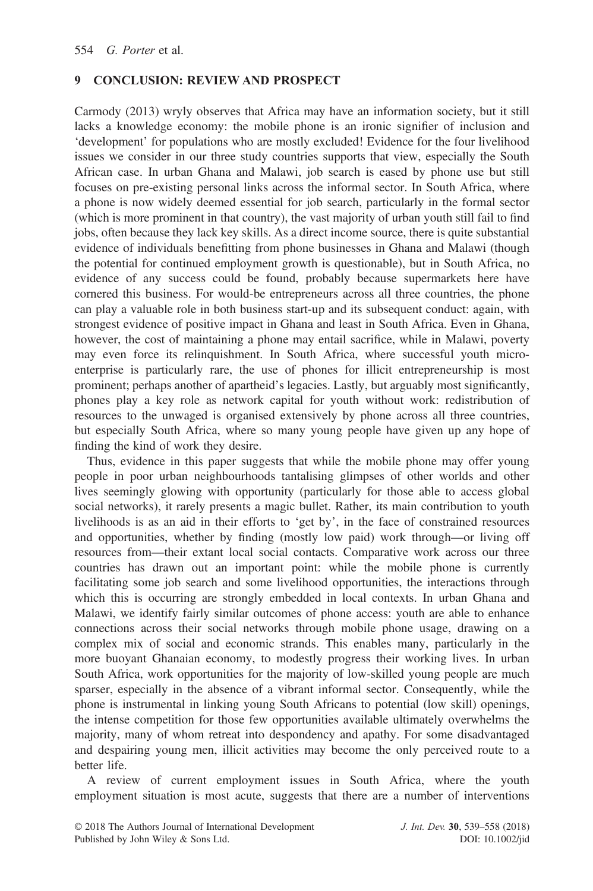## 9 CONCLUSION: REVIEW AND PROSPECT

Carmody (2013) wryly observes that Africa may have an information society, but it still lacks a knowledge economy: the mobile phone is an ironic signifier of inclusion and 'development' for populations who are mostly excluded! Evidence for the four livelihood issues we consider in our three study countries supports that view, especially the South African case. In urban Ghana and Malawi, job search is eased by phone use but still focuses on pre-existing personal links across the informal sector. In South Africa, where a phone is now widely deemed essential for job search, particularly in the formal sector (which is more prominent in that country), the vast majority of urban youth still fail to find jobs, often because they lack key skills. As a direct income source, there is quite substantial evidence of individuals benefitting from phone businesses in Ghana and Malawi (though the potential for continued employment growth is questionable), but in South Africa, no evidence of any success could be found, probably because supermarkets here have cornered this business. For would-be entrepreneurs across all three countries, the phone can play a valuable role in both business start-up and its subsequent conduct: again, with strongest evidence of positive impact in Ghana and least in South Africa. Even in Ghana, however, the cost of maintaining a phone may entail sacrifice, while in Malawi, poverty may even force its relinquishment. In South Africa, where successful youth microenterprise is particularly rare, the use of phones for illicit entrepreneurship is most prominent; perhaps another of apartheid's legacies. Lastly, but arguably most significantly, phones play a key role as network capital for youth without work: redistribution of resources to the unwaged is organised extensively by phone across all three countries, but especially South Africa, where so many young people have given up any hope of finding the kind of work they desire.

Thus, evidence in this paper suggests that while the mobile phone may offer young people in poor urban neighbourhoods tantalising glimpses of other worlds and other lives seemingly glowing with opportunity (particularly for those able to access global social networks), it rarely presents a magic bullet. Rather, its main contribution to youth livelihoods is as an aid in their efforts to 'get by', in the face of constrained resources and opportunities, whether by finding (mostly low paid) work through—or living off resources from—their extant local social contacts. Comparative work across our three countries has drawn out an important point: while the mobile phone is currently facilitating some job search and some livelihood opportunities, the interactions through which this is occurring are strongly embedded in local contexts. In urban Ghana and Malawi, we identify fairly similar outcomes of phone access: youth are able to enhance connections across their social networks through mobile phone usage, drawing on a complex mix of social and economic strands. This enables many, particularly in the more buoyant Ghanaian economy, to modestly progress their working lives. In urban South Africa, work opportunities for the majority of low-skilled young people are much sparser, especially in the absence of a vibrant informal sector. Consequently, while the phone is instrumental in linking young South Africans to potential (low skill) openings, the intense competition for those few opportunities available ultimately overwhelms the majority, many of whom retreat into despondency and apathy. For some disadvantaged and despairing young men, illicit activities may become the only perceived route to a better life.

A review of current employment issues in South Africa, where the youth employment situation is most acute, suggests that there are a number of interventions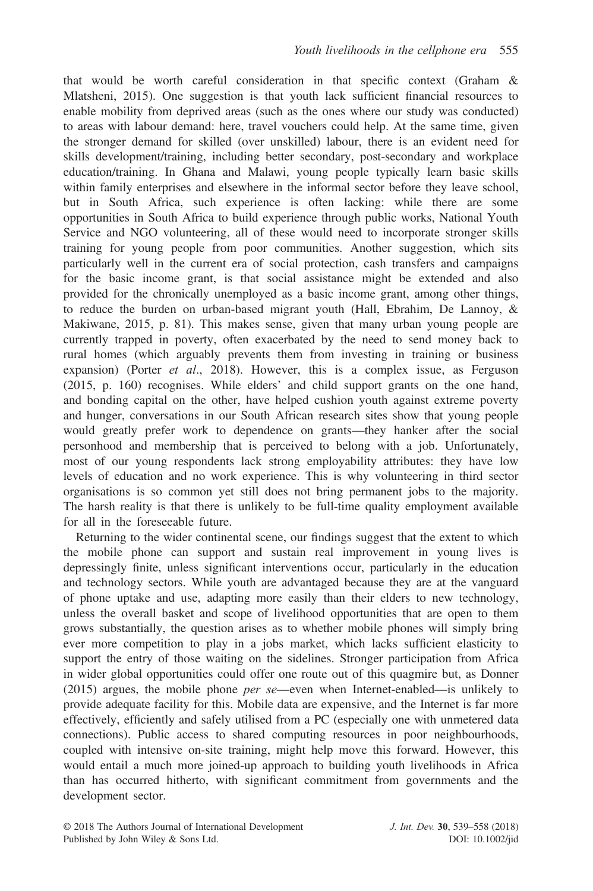that would be worth careful consideration in that specific context (Graham  $\&$ Mlatsheni, 2015). One suggestion is that youth lack sufficient financial resources to enable mobility from deprived areas (such as the ones where our study was conducted) to areas with labour demand: here, travel vouchers could help. At the same time, given the stronger demand for skilled (over unskilled) labour, there is an evident need for skills development/training, including better secondary, post-secondary and workplace education/training. In Ghana and Malawi, young people typically learn basic skills within family enterprises and elsewhere in the informal sector before they leave school, but in South Africa, such experience is often lacking: while there are some opportunities in South Africa to build experience through public works, National Youth Service and NGO volunteering, all of these would need to incorporate stronger skills training for young people from poor communities. Another suggestion, which sits particularly well in the current era of social protection, cash transfers and campaigns for the basic income grant, is that social assistance might be extended and also provided for the chronically unemployed as a basic income grant, among other things, to reduce the burden on urban-based migrant youth (Hall, Ebrahim, De Lannoy, & Makiwane, 2015, p. 81). This makes sense, given that many urban young people are currently trapped in poverty, often exacerbated by the need to send money back to rural homes (which arguably prevents them from investing in training or business expansion) (Porter *et al.*, 2018). However, this is a complex issue, as Ferguson (2015, p. 160) recognises. While elders' and child support grants on the one hand, and bonding capital on the other, have helped cushion youth against extreme poverty and hunger, conversations in our South African research sites show that young people would greatly prefer work to dependence on grants—they hanker after the social personhood and membership that is perceived to belong with a job. Unfortunately, most of our young respondents lack strong employability attributes: they have low levels of education and no work experience. This is why volunteering in third sector organisations is so common yet still does not bring permanent jobs to the majority. The harsh reality is that there is unlikely to be full-time quality employment available for all in the foreseeable future.

Returning to the wider continental scene, our findings suggest that the extent to which the mobile phone can support and sustain real improvement in young lives is depressingly finite, unless significant interventions occur, particularly in the education and technology sectors. While youth are advantaged because they are at the vanguard of phone uptake and use, adapting more easily than their elders to new technology, unless the overall basket and scope of livelihood opportunities that are open to them grows substantially, the question arises as to whether mobile phones will simply bring ever more competition to play in a jobs market, which lacks sufficient elasticity to support the entry of those waiting on the sidelines. Stronger participation from Africa in wider global opportunities could offer one route out of this quagmire but, as Donner (2015) argues, the mobile phone per se—even when Internet-enabled—is unlikely to provide adequate facility for this. Mobile data are expensive, and the Internet is far more effectively, efficiently and safely utilised from a PC (especially one with unmetered data connections). Public access to shared computing resources in poor neighbourhoods, coupled with intensive on-site training, might help move this forward. However, this would entail a much more joined-up approach to building youth livelihoods in Africa than has occurred hitherto, with significant commitment from governments and the development sector.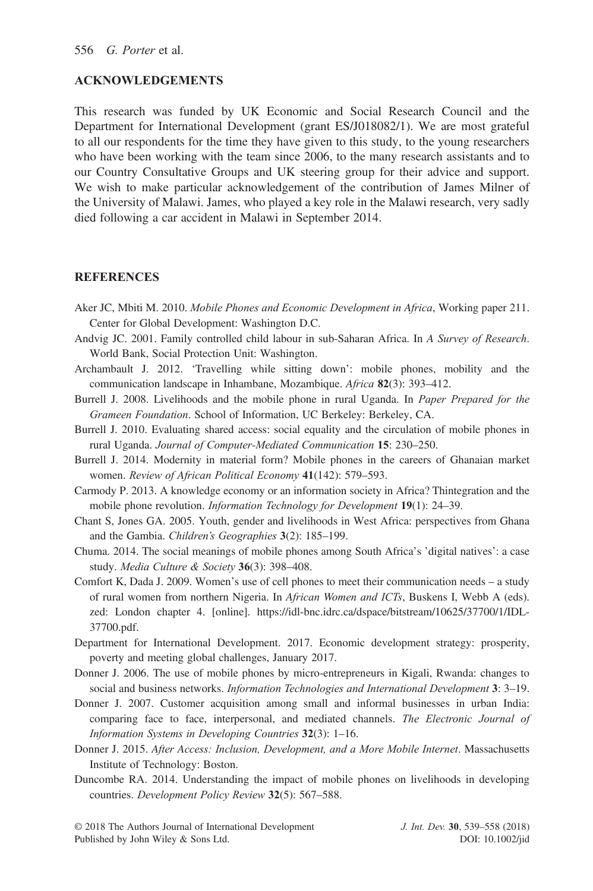#### ACKNOWLEDGEMENTS

This research was funded by UK Economic and Social Research Council and the Department for International Development (grant ES/J018082/1). We are most grateful to all our respondents for the time they have given to this study, to the young researchers who have been working with the team since 2006, to the many research assistants and to our Country Consultative Groups and UK steering group for their advice and support. We wish to make particular acknowledgement of the contribution of James Milner of the University of Malawi. James, who played a key role in the Malawi research, very sadly died following a car accident in Malawi in September 2014.

#### **REFERENCES**

- Aker JC, Mbiti M. 2010. Mobile Phones and Economic Development in Africa, Working paper 211. Center for Global Development: Washington D.C.
- Andvig JC. 2001. Family controlled child labour in sub-Saharan Africa. In A Survey of Research. World Bank, Social Protection Unit: Washington.
- Archambault J. 2012. 'Travelling while sitting down': mobile phones, mobility and the communication landscape in Inhambane, Mozambique. Africa 82(3): 393–412.
- Burrell J. 2008. Livelihoods and the mobile phone in rural Uganda. In Paper Prepared for the Grameen Foundation. School of Information, UC Berkeley: Berkeley, CA.
- Burrell J. 2010. Evaluating shared access: social equality and the circulation of mobile phones in rural Uganda. Journal of Computer-Mediated Communication 15: 230–250.
- Burrell J. 2014. Modernity in material form? Mobile phones in the careers of Ghanaian market women. Review of African Political Economy 41(142): 579–593.
- Carmody P. 2013. A knowledge economy or an information society in Africa? Thintegration and the mobile phone revolution. *Information Technology for Development* 19(1): 24–39.
- Chant S, Jones GA. 2005. Youth, gender and livelihoods in West Africa: perspectives from Ghana and the Gambia. Children's Geographies 3(2): 185–199.
- Chuma. 2014. The social meanings of mobile phones among South Africa's 'digital natives': a case study. Media Culture & Society 36(3): 398–408.
- Comfort K, Dada J. 2009. Women's use of cell phones to meet their communication needs a study of rural women from northern Nigeria. In African Women and ICTs, Buskens I, Webb A (eds). zed: London chapter 4. [online]. [https://idl-bnc.idrc.ca/dspace/bitstream/10625/37700/1/IDL-](https://idl-bnc.idrc.ca/dspace/bitstream/10625/37700/1/IDL-37700.pdf)[37700.pdf](https://idl-bnc.idrc.ca/dspace/bitstream/10625/37700/1/IDL-37700.pdf).
- Department for International Development. 2017. Economic development strategy: prosperity, poverty and meeting global challenges, January 2017.
- Donner J. 2006. The use of mobile phones by micro-entrepreneurs in Kigali, Rwanda: changes to social and business networks. *Information Technologies and International Development* 3: 3–19.
- Donner J. 2007. Customer acquisition among small and informal businesses in urban India: comparing face to face, interpersonal, and mediated channels. The Electronic Journal of Information Systems in Developing Countries 32(3): 1–16.
- Donner J. 2015. After Access: Inclusion, Development, and a More Mobile Internet. Massachusetts Institute of Technology: Boston.
- Duncombe RA. 2014. Understanding the impact of mobile phones on livelihoods in developing countries. Development Policy Review 32(5): 567–588.

© 2018 The Authors Journal of International Development Published by John Wiley & Sons Ltd.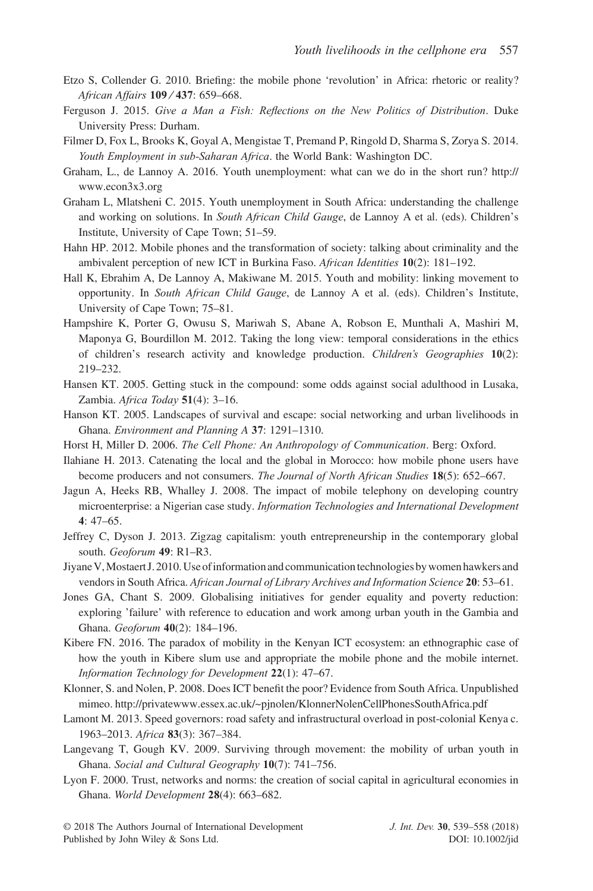- Etzo S, Collender G. 2010. Briefing: the mobile phone 'revolution' in Africa: rhetoric or reality? African Affairs 109 ⁄ 437: 659–668.
- Ferguson J. 2015. Give a Man a Fish: Reflections on the New Politics of Distribution. Duke University Press: Durham.
- Filmer D, Fox L, Brooks K, Goyal A, Mengistae T, Premand P, Ringold D, Sharma S, Zorya S. 2014. Youth Employment in sub-Saharan Africa. the World Bank: Washington DC.
- Graham, L., de Lannoy A. 2016. Youth unemployment: what can we do in the short run? [http://](http://www.econ3x3.org) [www.econ3x3.org](http://www.econ3x3.org)
- Graham L, Mlatsheni C. 2015. Youth unemployment in South Africa: understanding the challenge and working on solutions. In South African Child Gauge, de Lannoy A et al. (eds). Children's Institute, University of Cape Town; 51–59.
- Hahn HP. 2012. Mobile phones and the transformation of society: talking about criminality and the ambivalent perception of new ICT in Burkina Faso. African Identities 10(2): 181–192.
- Hall K, Ebrahim A, De Lannoy A, Makiwane M. 2015. Youth and mobility: linking movement to opportunity. In South African Child Gauge, de Lannoy A et al. (eds). Children's Institute, University of Cape Town; 75–81.
- Hampshire K, Porter G, Owusu S, Mariwah S, Abane A, Robson E, Munthali A, Mashiri M, Maponya G, Bourdillon M. 2012. Taking the long view: temporal considerations in the ethics of children's research activity and knowledge production. Children's Geographies 10(2): 219–232.
- Hansen KT. 2005. Getting stuck in the compound: some odds against social adulthood in Lusaka, Zambia. Africa Today 51(4): 3–16.
- Hanson KT. 2005. Landscapes of survival and escape: social networking and urban livelihoods in Ghana. Environment and Planning A 37: 1291–1310.
- Horst H, Miller D. 2006. The Cell Phone: An Anthropology of Communication. Berg: Oxford.
- Ilahiane H. 2013. Catenating the local and the global in Morocco: how mobile phone users have become producers and not consumers. The Journal of North African Studies 18(5): 652-667.
- Jagun A, Heeks RB, Whalley J. 2008. The impact of mobile telephony on developing country microenterprise: a Nigerian case study. Information Technologies and International Development 4: 47–65.
- Jeffrey C, Dyson J. 2013. Zigzag capitalism: youth entrepreneurship in the contemporary global south. Geoforum 49: R1-R3.
- Jiyane V,Mostaert J. 2010. Use ofinformation and communicationtechnologies by women hawkers and vendors in South Africa. African Journal of Library Archives and Information Science 20: 53–61.
- Jones GA, Chant S. 2009. Globalising initiatives for gender equality and poverty reduction: exploring 'failure' with reference to education and work among urban youth in the Gambia and Ghana. Geoforum 40(2): 184-196.
- Kibere FN. 2016. The paradox of mobility in the Kenyan ICT ecosystem: an ethnographic case of how the youth in Kibere slum use and appropriate the mobile phone and the mobile internet. Information Technology for Development 22(1): 47–67.
- Klonner, S. and Nolen, P. 2008. Does ICT benefit the poor? Evidence from South Africa. Unpublished mimeo.<http://privatewww.essex.ac.uk/~pjnolen/KlonnerNolenCellPhonesSouthAfrica.pdf>
- Lamont M. 2013. Speed governors: road safety and infrastructural overload in post-colonial Kenya c. 1963–2013. Africa 83(3): 367–384.
- Langevang T, Gough KV. 2009. Surviving through movement: the mobility of urban youth in Ghana. Social and Cultural Geography 10(7): 741-756.
- Lyon F. 2000. Trust, networks and norms: the creation of social capital in agricultural economies in Ghana. World Development 28(4): 663–682.